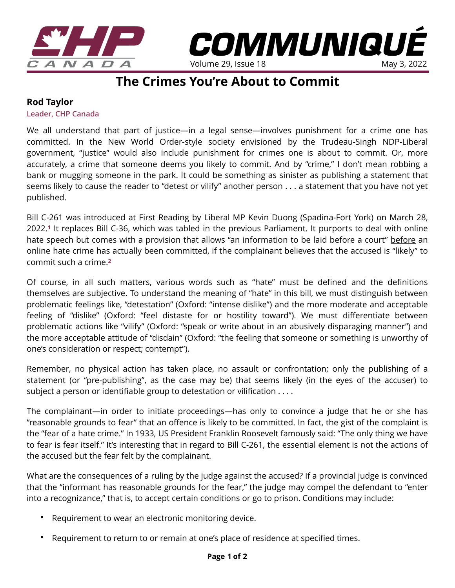



Volume 29, Issue 18

*COMMUNIQUÉ* 

## **Rod Taylor**

**Leader, CHP Canada** 

We all understand that part of justice—in a legal sense—involves punishment for a crime one has committed. In the New World Order-style society envisioned by the Trudeau-Singh NDP-Liberal government, "justice" would also include punishment for crimes one is about to commit. Or, more accurately, a crime that someone deems you likely to commit. And by "crime," I don't mean robbing a bank or mugging someone in the park. It could be something as sinister as publishing a statement that seems likely to cause the reader to "detest or vilify" another person . . . a statement that you have not yet published.

Bill C-261 was introduced at First Reading by Liberal MP Kevin Duong (Spadina-Fort York) on March 28, 2022.**[1](https://www.parl.ca/DocumentViewer/en/44-1/bill/C-261/first-reading)** It replaces Bill C-36, which was tabled in the previous Parliament. It purports to deal with online hate speech but comes with a provision that allows "an information to be laid before a court" before an online hate crime has actually been committed, if the complainant believes that the accused is "likely" to commit such a crime.**[2](https://www.standingforfreedom.com/2021/06/canada-proposes-another-hate-speech-law-and-this-one-is-just-as-threatening-to-free-speech/)**

Of course, in all such matters, various words such as "hate" must be defined and the definitions themselves are subjective. To understand the meaning of "hate" in this bill, we must distinguish between problematic feelings like, "detestation" (Oxford: "intense dislike") and the more moderate and acceptable feeling of "dislike" (Oxford: "feel distaste for or hostility toward"). We must differentiate between problematic actions like "vilify" (Oxford: "speak or write about in an abusively disparaging manner") and the more acceptable attitude of "disdain" (Oxford: "the feeling that someone or something is unworthy of one's consideration or respect; contempt").

Remember, no physical action has taken place, no assault or confrontation; only the publishing of a statement (or "pre-publishing", as the case may be) that seems likely (in the eyes of the accuser) to subject a person or identifiable group to detestation or vilification . . . .

The complainant—in order to initiate proceedings—has only to convince a judge that he or she has "reasonable grounds to fear" that an offence is likely to be committed. In fact, the gist of the complaint is the "fear of a hate crime." In 1933, US President Franklin Roosevelt famously said: "The only thing we have to fear is fear itself." It's interesting that in regard to Bill C-261, the essential element is not the actions of the accused but the fear felt by the complainant.

What are the consequences of a ruling by the judge against the accused? If a provincial judge is convinced that the "informant has reasonable grounds for the fear," the judge may compel the defendant to "enter into a recognizance," that is, to accept certain conditions or go to prison. Conditions may include:

- Requirement to wear an electronic monitoring device.
- Requirement to return to or remain at one's place of residence at specified times.